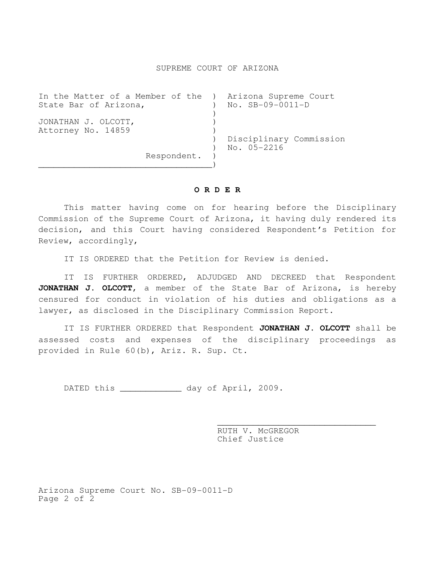## SUPREME COURT OF ARIZONA

| In the Matter of a Member of the ) Arizona Supreme Court<br>State Bar of Arizona, | $No.$ $SB-09-0011-D$    |
|-----------------------------------------------------------------------------------|-------------------------|
|                                                                                   |                         |
| JONATHAN J. OLCOTT,                                                               |                         |
| Attorney No. 14859                                                                |                         |
|                                                                                   | Disciplinary Commission |
|                                                                                   | $No. 05 - 2216$         |
| Respondent.                                                                       |                         |
|                                                                                   |                         |

## **O R D E R**

 This matter having come on for hearing before the Disciplinary Commission of the Supreme Court of Arizona, it having duly rendered its decision, and this Court having considered Respondent's Petition for Review, accordingly,

IT IS ORDERED that the Petition for Review is denied.

 IT IS FURTHER ORDERED, ADJUDGED AND DECREED that Respondent **JONATHAN J. OLCOTT,** a member of the State Bar of Arizona, is hereby censured for conduct in violation of his duties and obligations as a lawyer, as disclosed in the Disciplinary Commission Report.

 IT IS FURTHER ORDERED that Respondent **JONATHAN J. OLCOTT** shall be assessed costs and expenses of the disciplinary proceedings as provided in Rule 60(b), Ariz. R. Sup. Ct.

 $\overline{\phantom{a}}$  , and the contract of the contract of the contract of the contract of the contract of the contract of the contract of the contract of the contract of the contract of the contract of the contract of the contrac

DATED this \_\_\_\_\_\_\_\_\_\_\_\_ day of April, 2009.

 RUTH V. McGREGOR Chief Justice

Arizona Supreme Court No. SB-09-0011-D Page 2 of 2